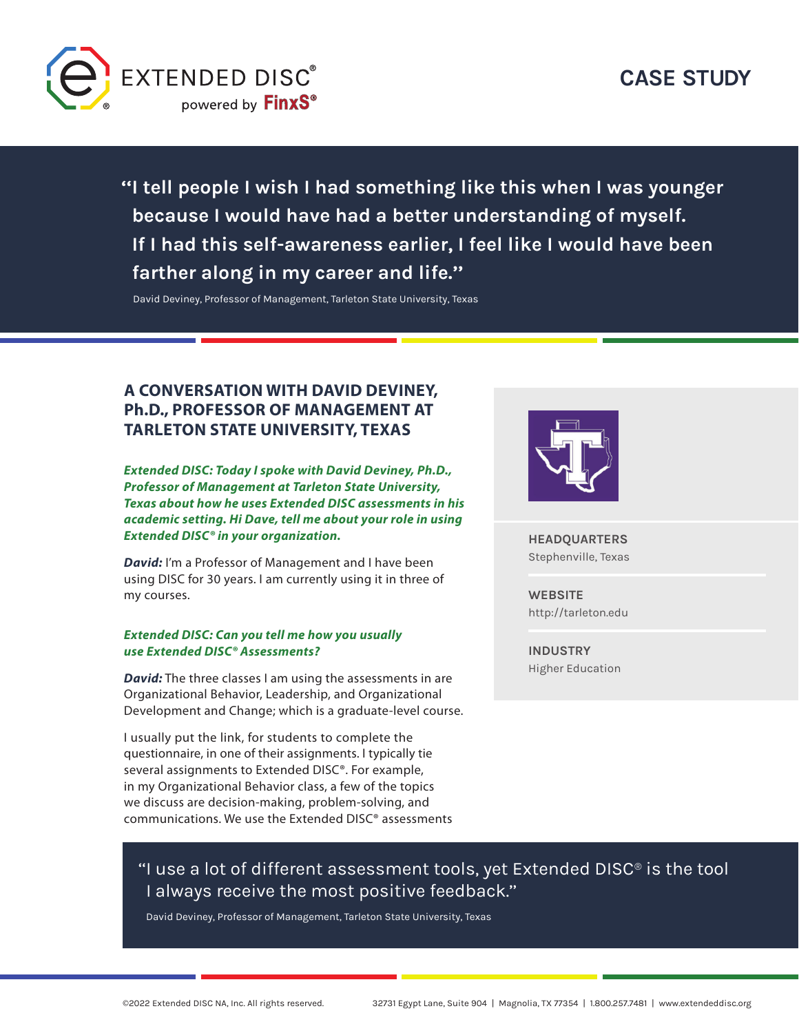

**''I tell people I wish I had something like this when I was younger because I would have had a better understanding of myself. If I had this self-awareness earlier, I feel like I would have been farther along in my career and life.''**

David Deviney, Professor of Management, Tarleton State University, Texas

## **A CONVERSATION WITH DAVID DEVINEY, Ph.D., PROFESSOR OF MANAGEMENT AT TARLETON STATE UNIVERSITY, TEXAS**

*Extended DISC: Today I spoke with David Deviney, Ph.D., Professor of Management at Tarleton State University, Texas about how he uses Extended DISC assessments in his academic setting. Hi Dave, tell me about your role in using Extended DISC® in your organization.*

*David:* I'm a Professor of Management and I have been using DISC for 30 years. I am currently using it in three of my courses.

#### *Extended DISC: Can you tell me how you usually use Extended DISC® Assessments?*

*David:* The three classes I am using the assessments in are Organizational Behavior, Leadership, and Organizational Development and Change; which is a graduate-level course.

I usually put the link, for students to complete the questionnaire, in one of their assignments. I typically tie several assignments to Extended DISC®. For example, in my Organizational Behavior class, a few of the topics we discuss are decision-making, problem-solving, and communications. We use the Extended DISC® assessments



**HEADQUARTERS**  Stephenville, Texas

**WEBSITE** <http://tarleton.edu>

**INDUSTRY** Higher Education

# "I use a lot of different assessment tools, yet Extended DISC® is the tool I always receive the most positive feedback.''

David Deviney, Professor of Management, Tarleton State University, Texas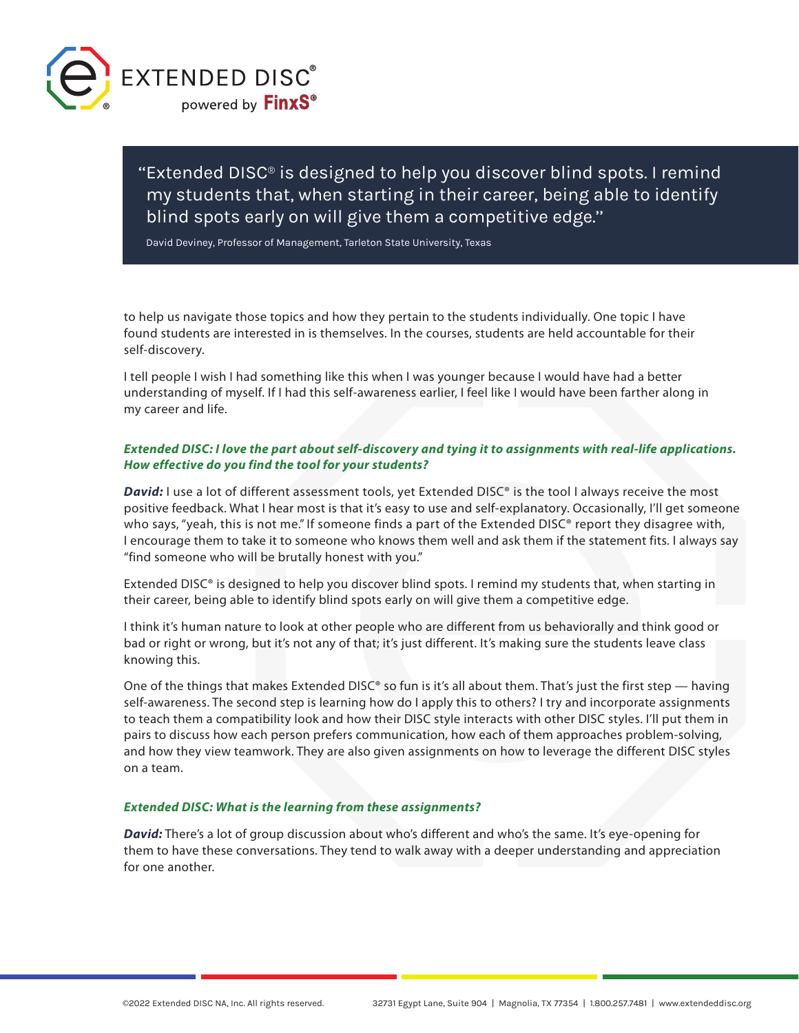

''Extended DISC® is designed to help you discover blind spots. I remind my students that, when starting in their career, being able to identify blind spots early on will give them a competitive edge.''

David Deviney, Professor of Management, Tarleton State University, Texas

to help us navigate those topics and how they pertain to the students individually. One topic I have found students are interested in is themselves. In the courses, students are held accountable for their self-discovery.

I tell people I wish I had something like this when I was younger because I would have had a better understanding of myself. If I had this self-awareness earlier, I feel like I would have been farther along in my career and life.

## *Extended DISC: I love the part about self-discovery and tying it to assignments with real-life applications. How effective do you find the tool for your students?*

**David:** I use a lot of different assessment tools, yet Extended DISC<sup>®</sup> is the tool I always receive the most positive feedback. What I hear most is that it's easy to use and self-explanatory. Occasionally, I'll get someone who says, "yeah, this is not me." If someone finds a part of the Extended DISC® report they disagree with, I encourage them to take it to someone who knows them well and ask them if the statement fits. I always say "find someone who will be brutally honest with you."

Extended DISC® is designed to help you discover blind spots. I remind my students that, when starting in their career, being able to identify blind spots early on will give them a competitive edge.

I think it's human nature to look at other people who are different from us behaviorally and think good or bad or right or wrong, but it's not any of that; it's just different. It's making sure the students leave class knowing this.

One of the things that makes Extended DISC® so fun is it's all about them. That's just the first step — having self-awareness. The second step is learning how do I apply this to others? I try and incorporate assignments to teach them a compatibility look and how their DISC style interacts with other DISC styles. I'll put them in pairs to discuss how each person prefers communication, how each of them approaches problem-solving, and how they view teamwork. They are also given assignments on how to leverage the different DISC styles on a team.

#### *Extended DISC: What is the learning from these assignments?*

*David:* There's a lot of group discussion about who's different and who's the same. It's eye-opening for them to have these conversations. They tend to walk away with a deeper understanding and appreciation for one another.